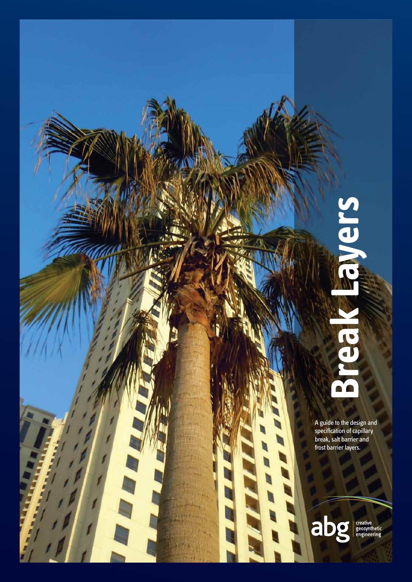# sueve **Break Layers** a'a

A guide to the design and specification of capillary break, salt barrier and frost barrier layers.

E

abg creative<br>geosynthetic<br>engineering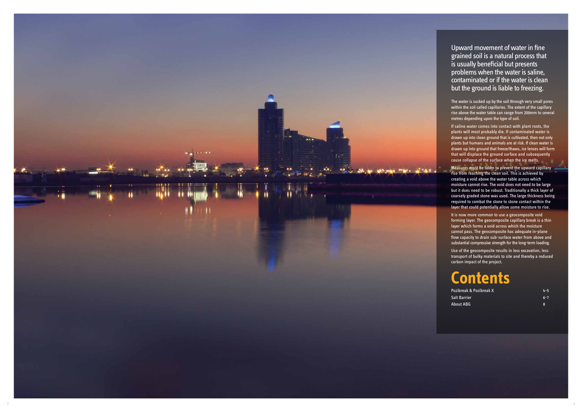Upward movement of water in fine grained soil is a natural process that is usually beneficial but presents problems when the water is saline, contaminated or if the water is clean but the ground is liable to freezing.

The water is sucked up by the soil through very small pores within the soil called capillaries. The extent of the capillary rise above the water table can range from 200mm to several metres depending upon the type of soil.

If saline water comes into contact with plant roots, the plants will most probably die. If contaminated water is drawn up into clean ground that is cultivated, then not only plants but humans and animals are at risk. If clean water is drawn up into ground that freeze/thaws, ice lenses will form that will displace the ground surface and subsequently cause collapse of the surface when the ice melts.

Pozibreak & Pozibreak X **4-5** Salt Barrier 6-7 About ABG

Measures must be taken to prevent the upward capillary rise from reaching the clean soil. This is achieved by creating a void above the water table across which moisture cannot rise. The void does not need to be large but it does need to be robust. Traditionally a thick layer of coarsely graded stone was used. The large thickness being required to combat the stone to stone contact within the layer that could potentially allow some moisture to rise.

It is now more common to use a geocomposite void forming layer. The geocomposite capillary break is a thin layer which forms a void across which the moisture cannot pass. The geocomposite has adequate in-plane flow capacity to drain sub-surface water from above and substantial compressive strength for the long-term loading.

Use of the geocomposite results in less excavation, less transport of bulky materials to site and thereby a reduced carbon impact of the project.

### **Contents**

8

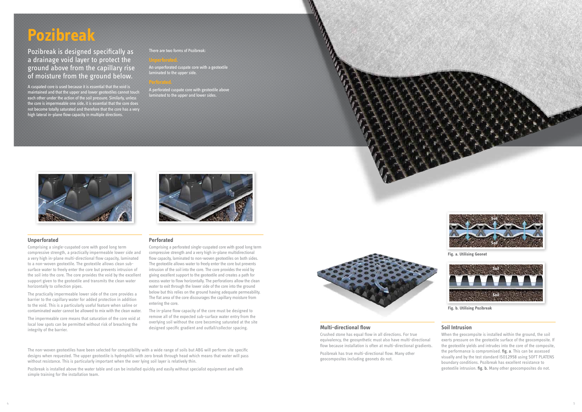# **Pozibreak**

Pozibreak is designed specifically as a drainage void layer to protect the ground above from the capillary rise of moisture from the ground below.

An unperforated cuspate core with a geotextile laminated to the upper side.



A cuspated core is used because it is essential that the void is maintained and that the upper and lower geotextiles cannot touch each other under the action of the soil pressure. Similarly, unless the core is impermeable one side, it is essential that the core does not become totally saturated and therefore that the core has a very high lateral in-plane flow capacity in multiple directions.

A perforated cuspate core with geotextile above laminated to the upper and lower sides.



#### There are two forms of Pozibreak:

### **Unperforated**

Comprising a single-cuspated core with good long term compressive strength, a practically impermeable lower side and a very high in-plane multi-directional flow capacity, laminated to a non-woven geotextile. The geotextile allows clean subsurface water to freely enter the core but prevents intrusion of the soil into the core. The core provides the void by the excellent support given to the geotextile and transmits the clean water horizontally to collection pipes.

The practically impermeable lower side of the core provides a barrier to the capillary water for added protection in addition to the void. This is a particularly useful feature when saline or contaminated water cannot be allowed to mix with the clean water.

The impermeable core means that saturation of the core void at local low spots can be permitted without risk of breaching the integrity of the barrier.

### **Perforated**

Comprising a perforated single-cuspated core with good long term compressive strength and a very high in-plane multidirectional flow capacity, laminated to non-woven geotextiles on both sides. The geotextile allows water to freely enter the core but prevents intrusion of the soil into the core. The core provides the void by giving excellent support to the geotextile and creates a path for excess water to flow horizontally. The perforations allow the clean water to exit through the lower side of the core into the ground below but this relies on the ground having adequate permeability. The flat area of the core discourages the capillary moisture from entering the core.

The in-plane flow capacity of the core must be designed to remove all of the expected sub-surface water entry from the overlying soil without the core becoming saturated at the site designed specific gradient and outfall/collector spacing.

The non-woven geotextiles have been selected for compatibility with a wide range of soils but ABG will perform site specific designs when requested. The upper geotextile is hydrophilic with zero break through head which means that water will pass without resistance. This is particularly important when the over lying soil layer is relatively thin.

Pozibreak is installed above the water table and can be installed quickly and easily without specialist equipment and with simple training for the installation team.



#### **Multi-directional flow**

Crushed stone has equal flow in all directions. For true equivalency, the geosynthetic must also have multi-directional flow because installation is often at multi-directional gradients.

Pozibreak has true multi-directional flow. Many other geocomposites including geonets do not.



#### **Soil Intrusion**

When the geocompsite is installed within the ground, the soil exerts pressure on the geotextile surface of the geocomposite. If the geotextile yields and intrudes into the core of the composite, the performance is compromised. fig. a. This can be assessed visually and by the test standard ISO12958 using SOFT PLATENS boundary conditions. Pozibreak has excellent resistance to geotextile intrusion. fig. b. Many other geocomposites do not.



**Fig. b. Utilising Pozibreak**



**Fig. a. Utilising Geonet**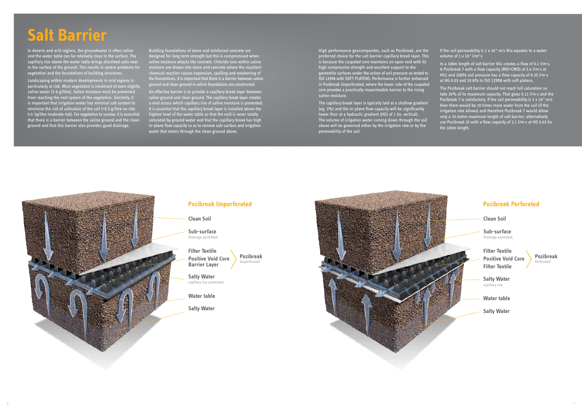## **Salt Barrier**

In deserts and arid regions, the groundwater is often saline and the water table can be relatively close to the surface. The capillary rise above the water table brings dissolved salts near to the surface of the ground. This results in severe problems for vegetation and the foundations of building structures.

Landscaping within modern developments in arid regions is particularly at risk. Most vegetation is intolerant of even slightly saline water (3-6 g/litre). Saline moisture must be prevented from reaching the root system of the vegetation. Similarly, it is important that irrigation water has minimal salt content to minimise the risk of salination of the soil (<0.5 g/litre no risk; 0.5-2g/litre moderate risk). For vegetation to survive, it is essential that there is a barrier between the saline ground and the clean ground and that this barrier also provides good drainage.

High performance geocomposites, such as Pozibreak, are the preferred choice for the salt barrier capillary break layer. This is because the cuspated core maintains an open void with its high compressive strength and excellent support to the geotextile surfaces under the action of soil pressure as tested to ISO 12958 with SOFT PLATENS. Performance is further enhanced in Pozibreak Unperforated, where the lower side of the cuspated core provides a practically impermeable barrier to the rising saline moisture.

Building foundations of stone and reinforced concrete are designed for long term strength but this is compromised when saline moisture attacks the concrete. Chloride ions within saline moisture are drawn into stone and concrete where the resultant chemical reaction causes expansion, spalling and weakening of the foundations. It is important that there is a barrier between saline ground and clean ground in which foundations are constructed.

An effective barrier is to provide a capillary break layer between saline ground and clean ground. The capillary break layer creates a void across which capillary rise of saline moisture is prevented. It is essential that the capillary break layer is installed above the highest level of the water table so that the void is never totally saturated by ground water and that the capillary break has high in-plane flow capacity so as to remove sub-surface and irrigation water that enters through the clean ground above.

The capillary break layer is typically laid at a shallow gradient (eg. 3%) and the in-plane flow capacity will be significantly lower than at a hydraulic gradient (HG) of 1 (ie. vertical). The volume of irrigation water coming down through the soil above will be governed either by the irrigation rate or by the permeability of the soil.

In a 100m length of salt barrier this creates a flow of 0.1 l/m·s. A Pozibreak 7 with a flow capacity (MD+CMD) of 2.4 l/m·s at HG1 and 20kPa soil pressure has a flow capacity of 0.35 l/m·s at HG 0.03 and 20 kPa to ISO 12958 with soft platens.

The Pozibreak salt barrier should not reach full saturation so take 30% of its maximum capacity. That gives 0.11 l/m·s and the Pozibreak 7 is satisfactory. If the soil permeability is  $1 \times 10^{-5}$  m/s then there would be 10 times more water from the soil (if the irrigation rate allows) and therefore Pozibreak 7 would allow only a 10 metre maximum length of salt barrier; alternatively use Pozibreak 25 with a flow capacity of 2.1 l/m·s at HG 0.03 for the 100m length.



**Clean Soil** 

**Sub-surface** Drainage permitted.

**Filter Textile Positive Void Core Filter Textile**

**Salty Water** capillary rise.

**Water table**

**Salty Water**



If the soil permeability is 1 x 10 $<sup>6</sup>$  m/s this equates to a water</sup> volume of 1 x 10<sup>-3</sup> l/m<sup>2</sup>·s